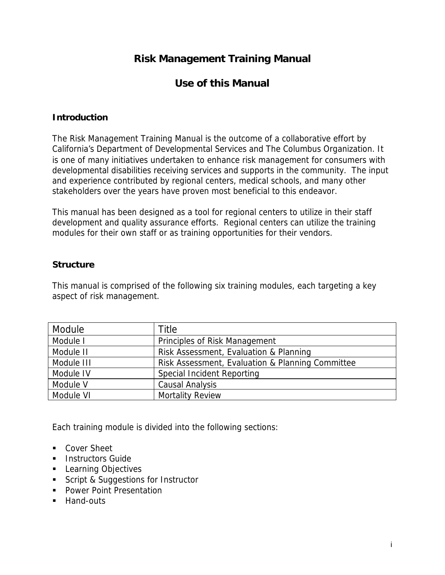# **Risk Management Training Manual**

# **Use of this Manual**

## **Introduction**

The *Risk Management Training Manual* is the outcome of a collaborative effort by California's Department of Developmental Services and The Columbus Organization. It is one of many initiatives undertaken to enhance risk management for consumers with developmental disabilities receiving services and supports in the community. The input and experience contributed by regional centers, medical schools, and many other stakeholders over the years have proven most beneficial to this endeavor.

This manual has been designed as a tool for regional centers to utilize in their staff development and quality assurance efforts. Regional centers can utilize the training modules for their own staff or as training opportunities for their vendors.

### **Structure**

This manual is comprised of the following six training modules, each targeting a key aspect of risk management.

| Module     | Title                                            |
|------------|--------------------------------------------------|
| Module I   | Principles of Risk Management                    |
| Module II  | Risk Assessment, Evaluation & Planning           |
| Module III | Risk Assessment, Evaluation & Planning Committee |
| Module IV  | Special Incident Reporting                       |
| Module V   | Causal Analysis                                  |
| Module VI  | <b>Mortality Review</b>                          |

Each training module is divided into the following sections:

- Cover Sheet
- **EXECUTE:** Instructors Guide
- **Learning Objectives**
- **Script & Suggestions for Instructor**
- **Power Point Presentation**
- Hand-outs